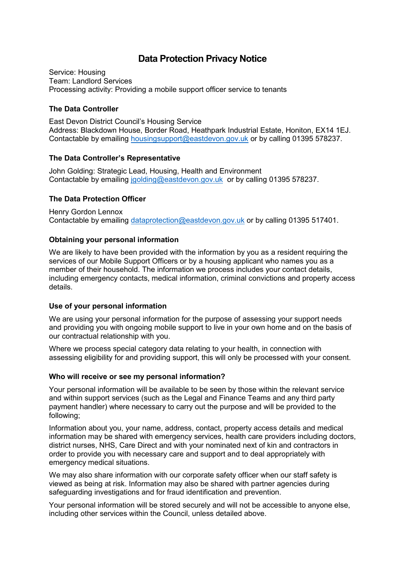# **Data Protection Privacy Notice**

Service: Housing Team: Landlord Services Processing activity: Providing a mobile support officer service to tenants

# **The Data Controller**

East Devon District Council's Housing Service Address: Blackdown House, Border Road, Heathpark Industrial Estate, Honiton, EX14 1EJ. Contactable by emailing [housingsupport@eastdevon.gov.uk](mailto:housingsupport@eastdevon.gov.uk) or by calling 01395 578237.

# **The Data Controller's Representative**

John Golding: Strategic Lead, Housing, Health and Environment Contactable by emailing [jgolding@eastdevon.gov.uk](mailto:jgolding@eastdevon.gov.uk) or by calling 01395 578237.

# **The Data Protection Officer**

Henry Gordon Lennox Contactable by emailing [dataprotection@eastdevon.gov.uk](mailto:dataprotection@eastdevon.gov.uk) or by calling 01395 517401.

# **Obtaining your personal information**

We are likely to have been provided with the information by you as a resident requiring the services of our Mobile Support Officers or by a housing applicant who names you as a member of their household. The information we process includes your contact details, including emergency contacts, medical information, criminal convictions and property access details.

### **Use of your personal information**

We are using your personal information for the purpose of assessing your support needs and providing you with ongoing mobile support to live in your own home and on the basis of our contractual relationship with you.

Where we process special category data relating to your health, in connection with assessing eligibility for and providing support, this will only be processed with your consent.

### **Who will receive or see my personal information?**

Your personal information will be available to be seen by those within the relevant service and within support services (such as the Legal and Finance Teams and any third party payment handler) where necessary to carry out the purpose and will be provided to the following;

Information about you, your name, address, contact, property access details and medical information may be shared with emergency services, health care providers including doctors, district nurses, NHS, Care Direct and with your nominated next of kin and contractors in order to provide you with necessary care and support and to deal appropriately with emergency medical situations.

We may also share information with our corporate safety officer when our staff safety is viewed as being at risk. Information may also be shared with partner agencies during safeguarding investigations and for fraud identification and prevention.

Your personal information will be stored securely and will not be accessible to anyone else, including other services within the Council, unless detailed above.